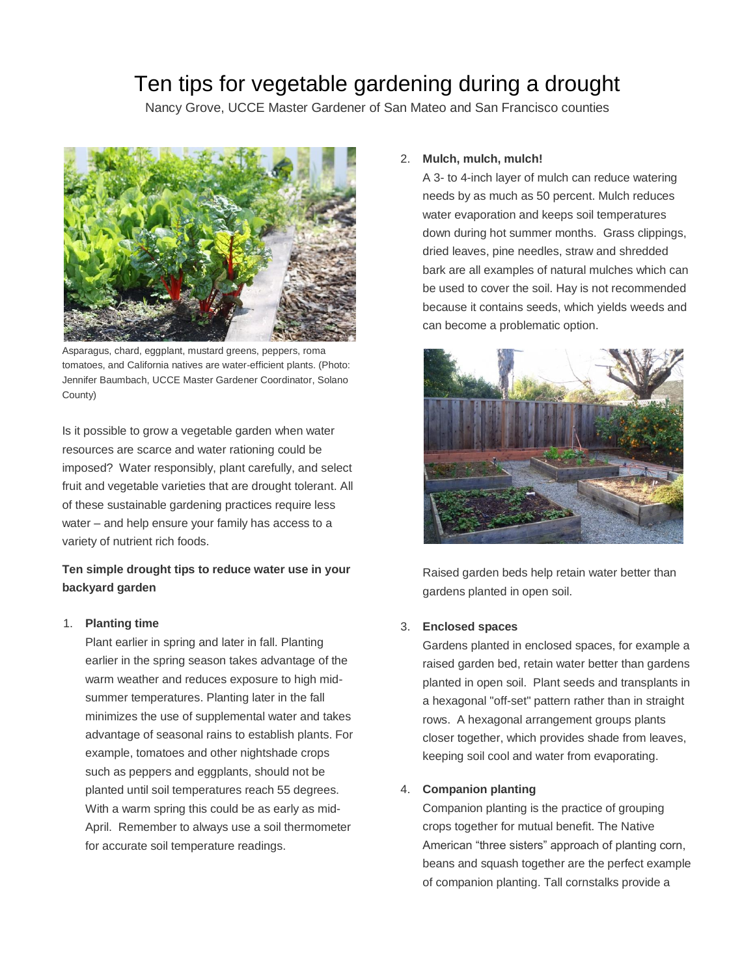# Ten tips for vegetable gardening during a drought

Nancy Grove, UCCE Master Gardener of San Mateo and San Francisco counties



Asparagus, chard, eggplant, mustard greens, peppers, roma tomatoes, and California natives are water-efficient plants. (Photo: Jennifer Baumbach, UCCE Master Gardener Coordinator, Solano County)

Is it possible to grow a vegetable garden when water resources are scarce and water rationing could be imposed? Water responsibly, plant carefully, and select fruit and vegetable varieties that are drought tolerant. All of these sustainable gardening practices require less water – and help ensure your family has access to a variety of nutrient rich foods.

# **Ten simple drought tips to reduce water use in your backyard garden**

#### 1. **Planting time**

Plant earlier in spring and later in fall. Planting earlier in the spring season takes advantage of the warm weather and reduces exposure to high midsummer temperatures. Planting later in the fall minimizes the use of supplemental water and takes advantage of seasonal rains to establish plants. For example, tomatoes and other nightshade crops such as peppers and eggplants, should not be planted until soil temperatures reach 55 degrees. With a warm spring this could be as early as mid-April. Remember to always use a soil thermometer for accurate soil temperature readings.

## 2. **Mulch, mulch, mulch!**

A 3- to 4-inch layer of mulch can reduce watering needs by as much as 50 percent. Mulch reduces water evaporation and keeps soil temperatures down during hot summer months. Grass clippings, dried leaves, pine needles, straw and shredded bark are all examples of natural mulches which can be used to cover the soil. Hay is not recommended because it contains seeds, which yields weeds and can become a problematic option.



Raised garden beds help retain water better than gardens planted in open soil.

## 3. **Enclosed spaces**

Gardens planted in enclosed spaces, for example a raised garden bed, retain water better than gardens planted in open soil. Plant seeds and transplants in a hexagonal "off-set" pattern rather than in straight rows. A hexagonal arrangement groups plants closer together, which provides shade from leaves, keeping soil cool and water from evaporating.

## 4. **Companion planting**

Companion planting is the practice of grouping crops together for mutual benefit. The Native American "three sisters" approach of planting corn, beans and squash together are the perfect example of companion planting. Tall cornstalks provide a